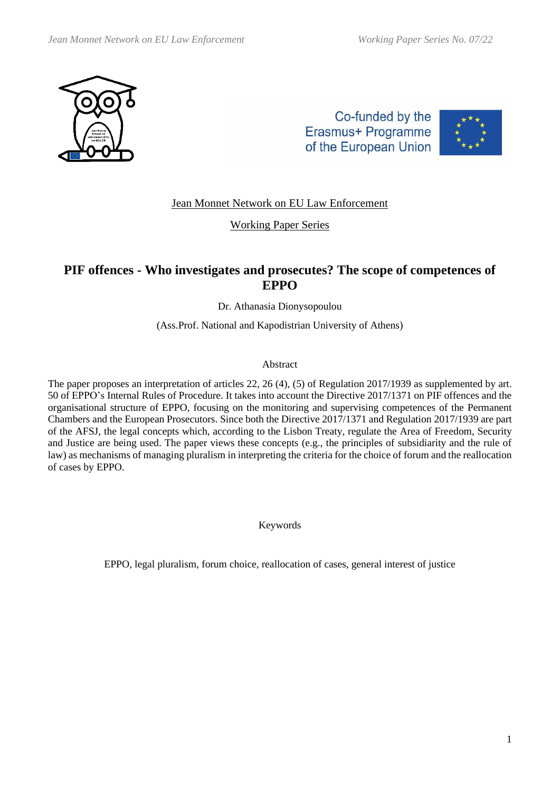

Co-funded by the Erasmus+ Programme of the European Union



Jean Monnet Network on EU Law Enforcement

Working Paper Series

# **PIF offences - Who investigates and prosecutes? The scope of competences of EPPO**

Dr. Athanasia Dionysopoulou

(Ass.Prof. National and Kapodistrian University of Athens)

### Abstract

The paper proposes an interpretation of articles 22, 26 (4), (5) of Regulation 2017/1939 as supplemented by art. 50 of EPPO's Internal Rules of Procedure. It takes into account the Directive 2017/1371 on PIF offences and the organisational structure of EPPO, focusing on the monitoring and supervising competences of the Permanent Chambers and the European Prosecutors. Since both the Directive 2017/1371 and Regulation 2017/1939 are part of the AFSJ, the legal concepts which, according to the Lisbon Treaty, regulate the Area of Freedom, Security and Justice are being used. The paper views these concepts (e.g., the principles of subsidiarity and the rule of law) as mechanisms of managing pluralism in interpreting the criteria for the choice of forum and the reallocation of cases by EPPO.

Keywords

EPPO, legal pluralism, forum choice, reallocation of cases, general interest of justice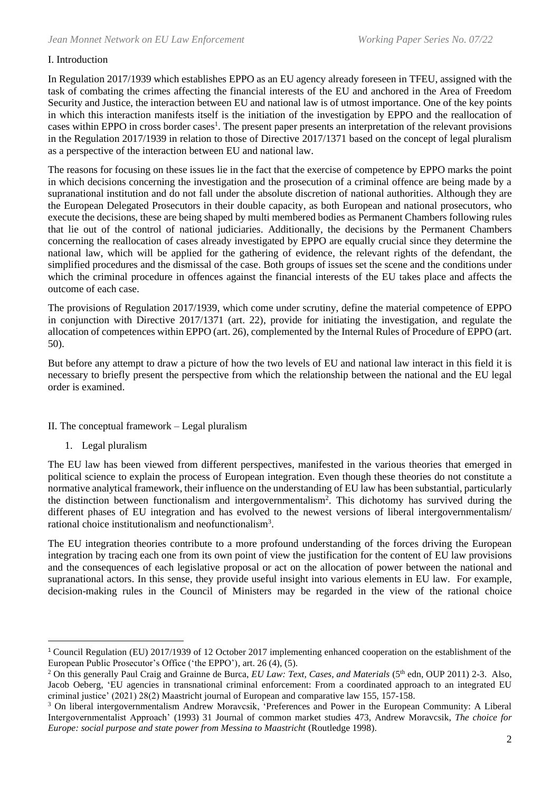### I. Introduction

In Regulation 2017/1939 which establishes EPPO as an EU agency already foreseen in TFEU, assigned with the task of combating the crimes affecting the financial interests of the EU and anchored in the Area of Freedom Security and Justice, the interaction between EU and national law is of utmost importance. One of the key points in which this interaction manifests itself is the initiation of the investigation by EPPO and the reallocation of cases within EPPO in cross border cases<sup>1</sup>. The present paper presents an interpretation of the relevant provisions in the Regulation 2017/1939 in relation to those of Directive 2017/1371 based on the concept of legal pluralism as a perspective of the interaction between EU and national law.

The reasons for focusing on these issues lie in the fact that the exercise of competence by EPPO marks the point in which decisions concerning the investigation and the prosecution of a criminal offence are being made by a supranational institution and do not fall under the absolute discretion of national authorities. Although they are the European Delegated Prosecutors in their double capacity, as both European and national prosecutors, who execute the decisions, these are being shaped by multi membered bodies as Permanent Chambers following rules that lie out of the control of national judiciaries. Additionally, the decisions by the Permanent Chambers concerning the reallocation of cases already investigated by EPPO are equally crucial since they determine the national law, which will be applied for the gathering of evidence, the relevant rights of the defendant, the simplified procedures and the dismissal of the case. Both groups of issues set the scene and the conditions under which the criminal procedure in offences against the financial interests of the EU takes place and affects the outcome of each case.

The provisions of Regulation 2017/1939, which come under scrutiny, define the material competence of EPPO in conjunction with Directive 2017/1371 (art. 22), provide for initiating the investigation, and regulate the allocation of competences within EPPO (art. 26), complemented by the Internal Rules of Procedure of EPPO (art. 50).

But before any attempt to draw a picture of how the two levels of EU and national law interact in this field it is necessary to briefly present the perspective from which the relationship between the national and the EU legal order is examined.

- II. The conceptual framework Legal pluralism
	- 1. Legal pluralism

The EU law has been viewed from different perspectives, manifested in the various theories that emerged in political science to explain the process of European integration. Even though these theories do not constitute a normative analytical framework, their influence on the understanding of EU law has been substantial, particularly the distinction between functionalism and intergovernmentalism<sup>2</sup>. This dichotomy has survived during the different phases of EU integration and has evolved to the newest versions of liberal intergovernmentalism/ rational choice institutionalism and neofunctionalism<sup>3</sup>.

The EU integration theories contribute to a more profound understanding of the forces driving the European integration by tracing each one from its own point of view the justification for the content of EU law provisions and the consequences of each legislative proposal or act on the allocation of power between the national and supranational actors. In this sense, they provide useful insight into various elements in EU law. For example, decision-making rules in the Council of Ministers may be regarded in the view of the rational choice

<sup>1</sup> Council Regulation (EU) 2017/1939 of 12 October 2017 implementing enhanced cooperation on the establishment of the European Public Prosecutor's Office ('the EPPO'), art. 26 (4), (5).

<sup>&</sup>lt;sup>2</sup> On this generally Paul Craig and Grainne de Burca, *EU Law: Text, Cases, and Materials* (5<sup>th</sup> edn, OUP 2011) 2-3. Also, Jacob Oeberg, 'EU agencies in transnational criminal enforcement: From a coordinated approach to an integrated EU criminal justice' (2021) 28(2) Maastricht journal of European and comparative law 155, 157-158.

<sup>3</sup> On liberal intergovernmentalism Andrew Moravcsik, 'Preferences and Power in the European Community: A Liberal Intergovernmentalist Approach' (1993) 31 Journal of common market studies 473, Andrew Moravcsik, *The choice for Europe: social purpose and state power from Messina to Maastricht* (Routledge 1998).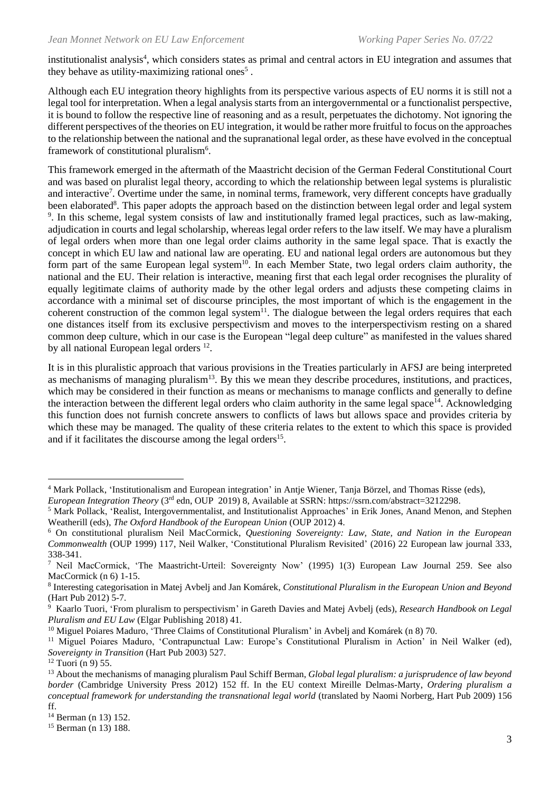institutionalist analysis<sup>4</sup>, which considers states as primal and central actors in EU integration and assumes that they behave as utility-maximizing rational ones<sup>5</sup>.

Although each EU integration theory highlights from its perspective various aspects of EU norms it is still not a legal tool for interpretation. When a legal analysis starts from an intergovernmental or a functionalist perspective, it is bound to follow the respective line of reasoning and as a result, perpetuates the dichotomy. Νot ignoring the different perspectives of the theories on EU integration, it would be rather more fruitful to focus on the approaches to the relationship between the national and the supranational legal order, as these have evolved in the conceptual framework of constitutional pluralism<sup>6</sup>.

This framework emerged in the aftermath of the Maastricht decision of the German Federal Constitutional Court and was based on pluralist legal theory, according to which the relationship between legal systems is pluralistic and interactive<sup>7</sup>. Overtime under the same, in nominal terms, framework, very different concepts have gradually been elaborated<sup>8</sup>. This paper adopts the approach based on the distinction between legal order and legal system <sup>9</sup>. In this scheme, legal system consists of law and institutionally framed legal practices, such as law-making, adjudication in courts and legal scholarship, whereas legal order refers to the law itself. We may have a pluralism of legal orders when more than one legal order claims authority in the same legal space. That is exactly the concept in which EU law and national law are operating. EU and national legal orders are autonomous but they form part of the same European legal system<sup>10</sup>. In each Member State, two legal orders claim authority, the national and the EU. Their relation is interactive, meaning first that each legal order recognises the plurality of equally legitimate claims of authority made by the other legal orders and adjusts these competing claims in accordance with a minimal set of discourse principles, the most important of which is the engagement in the coherent construction of the common legal system<sup>11</sup>. The dialogue between the legal orders requires that each one distances itself from its exclusive perspectivism and moves to the interperspectivism resting on a shared common deep culture, which in our case is the European "legal deep culture" as manifested in the values shared by all national European legal orders<sup>12</sup>.

It is in this pluralistic approach that various provisions in the Treaties particularly in AFSJ are being interpreted as mechanisms of managing pluralism<sup>13</sup>. By this we mean they describe procedures, institutions, and practices, which may be considered in their function as means or mechanisms to manage conflicts and generally to define the interaction between the different legal orders who claim authority in the same legal space<sup>14</sup>. Acknowledging this function does not furnish concrete answers to conflicts of laws but allows space and provides criteria by which these may be managed. The quality of these criteria relates to the extent to which this space is provided and if it facilitates the discourse among the legal orders<sup>15</sup>.

<sup>&</sup>lt;sup>4</sup> Mark Pollack, 'Institutionalism and European integration' in Antje Wiener, Tanja Börzel, and Thomas Risse (eds),

*European Integration Theory* (3rd edn, OUP 2019) 8, Available at SSRN: https://ssrn.com/abstract=3212298.

<sup>5</sup> Mark Pollack, 'Realist, Intergovernmentalist, and Institutionalist Approaches' in Erik Jones, Anand Menon, and Stephen Weatherill (eds), *The Oxford Handbook of the European Union* (OUP 2012) 4.

<sup>6</sup> On constitutional pluralism Neil MacCormick, *Questioning Sovereignty: Law, State, and Nation in the European Commonwealth* (OUP 1999) 117, Neil Walker, 'Constitutional Pluralism Revisited' (2016) 22 European law journal 333, 338-341.

<sup>7</sup> Neil MacCormick, 'The Maastricht-Urteil: Sovereignty Now' (1995) 1(3) European Law Journal 259. See also MacCormick (n 6) 1-15.

<sup>8</sup> Interesting categorisation in Matej Avbelj and Jan Komárek, *Constitutional Pluralism in the European Union and Beyond* (Hart Pub 2012) 5-7.

<sup>9</sup> Kaarlo Tuori, 'From pluralism to perspectivism' in Gareth Davies and Matej Avbelj (eds), *Research Handbook on Legal Pluralism and EU Law* (Elgar Publishing 2018) 41.

<sup>&</sup>lt;sup>10</sup> Miguel Poiares Maduro, 'Three Claims of Constitutional Pluralism' in Avbelj and Komárek (n 8) 70.

<sup>&</sup>lt;sup>11</sup> Miguel Poiares Maduro, 'Contrapunctual Law: Europe's Constitutional Pluralism in Action' in Neil Walker (ed), *Sovereignty in Transition* (Hart Pub 2003) 527.

 $12$  Tuori (n 9) 55.

<sup>13</sup> About the mechanisms of managing pluralism Paul Schiff Berman, *Global legal pluralism: a jurisprudence of law beyond border* (Cambridge University Press 2012) 152 ff. In the EU context Mireille Delmas-Marty, *Ordering pluralism a conceptual framework for understanding the transnational legal world* (translated by Naomi Norberg, Hart Pub 2009) 156 ff.

<sup>14</sup> Berman (n 13) 152.

<sup>15</sup> Berman (n 13) 188.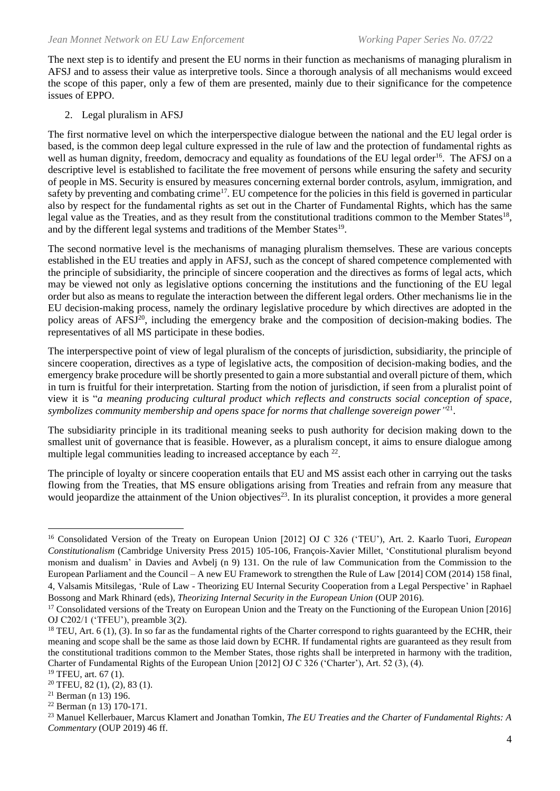The next step is to identify and present the EU norms in their function as mechanisms of managing pluralism in AFSJ and to assess their value as interpretive tools. Since a thorough analysis of all mechanisms would exceed the scope of this paper, only a few of them are presented, mainly due to their significance for the competence issues of EPPO.

## 2. Legal pluralism in AFSJ

The first normative level on which the interperspective dialogue between the national and the EU legal order is based, is the common deep legal culture expressed in the rule of law and the protection of fundamental rights as well as human dignity, freedom, democracy and equality as foundations of the EU legal order<sup>16</sup>. The AFSJ on a descriptive level is established to facilitate the free movement of persons while ensuring the safety and security of people in MS. Security is ensured by measures concerning external border controls, asylum, immigration, and safety by preventing and combating crime<sup>17</sup>. EU competence for the policies in this field is governed in particular also by respect for the fundamental rights as set out in the Charter of Fundamental Rights, which has the same legal value as the Treaties, and as they result from the constitutional traditions common to the Member States<sup>18</sup>, and by the different legal systems and traditions of the Member States<sup>19</sup>.

The second normative level is the mechanisms of managing pluralism themselves. These are various concepts established in the EU treaties and apply in AFSJ, such as the concept of shared competence complemented with the principle of subsidiarity, the principle of sincere cooperation and the directives as forms of legal acts, which may be viewed not only as legislative options concerning the institutions and the functioning of the EU legal order but also as means to regulate the interaction between the different legal orders. Other mechanisms lie in the EU decision-making process, namely the ordinary legislative procedure by which directives are adopted in the policy areas of AFSJ<sup>20</sup>, including the emergency brake and the composition of decision-making bodies. The representatives of all MS participate in these bodies.

The interperspective point of view of legal pluralism of the concepts of jurisdiction, subsidiarity, the principle of sincere cooperation, directives as a type of legislative acts, the composition of decision-making bodies, and the emergency brake procedure will be shortly presented to gain a more substantial and overall picture of them, which in turn is fruitful for their interpretation. Starting from the notion of jurisdiction, if seen from a pluralist point of view it is "*a meaning producing cultural product which reflects and constructs social conception of space,*  symbolizes community membership and opens space for norms that challenge sovereign power<sup>"21</sup>.

The subsidiarity principle in its traditional meaning seeks to push authority for decision making down to the smallest unit of governance that is feasible. However, as a pluralism concept, it aims to ensure dialogue among multiple legal communities leading to increased acceptance by each  $2^2$ .

The principle of loyalty or sincere cooperation entails that EU and MS assist each other in carrying out the tasks flowing from the Treaties, that MS ensure obligations arising from Treaties and refrain from any measure that would jeopardize the attainment of the Union objectives<sup>23</sup>. In its pluralist conception, it provides a more general

<sup>16</sup> Consolidated Version of the Treaty on European Union [2012] OJ C 326 ('TEU'), Art. 2. Kaarlo Tuori, *European Constitutionalism* (Cambridge University Press 2015) 105-106, François-Xavier Millet, 'Constitutional pluralism beyond monism and dualism' in Davies and Avbelj (n 9) 131. On the rule of law Communication from the Commission to the European Parliament and the Council – A new EU Framework to strengthen the Rule of Law [2014] COM (2014) 158 final, 4, Valsamis Mitsilegas, 'Rule of Law - Theorizing EU Internal Security Cooperation from a Legal Perspective' in Raphael Bossong and Mark Rhinard (eds), *Theorizing Internal Security in the European Union* (OUP 2016).

<sup>&</sup>lt;sup>17</sup> Consolidated versions of the Treaty on European Union and the Treaty on the Functioning of the European Union [2016] OJ C202/1 ('TFEU'), preamble 3(2).

<sup>&</sup>lt;sup>18</sup> TEU, Art.  $6$  (1), (3). In so far as the fundamental rights of the Charter correspond to rights guaranteed by the ECHR, their meaning and scope shall be the same as those laid down by ECHR. If fundamental rights are guaranteed as they result from the constitutional traditions common to the Member States, those rights shall be interpreted in harmony with the tradition, Charter of Fundamental Rights of the European Union [2012] OJ C 326 ('Charter'), Art. 52 (3), (4).

<sup>19</sup> TFEU, art. 67 (1).

<sup>20</sup> TFEU, 82 (1), (2), 83 (1).

<sup>21</sup> Berman (n 13) 196.

<sup>22</sup> Berman (n 13) 170-171.

<sup>23</sup> Manuel Kellerbauer, Marcus Klamert and Jonathan Tomkin, *The EU Treaties and the Charter of Fundamental Rights: A Commentary* (OUP 2019) 46 ff.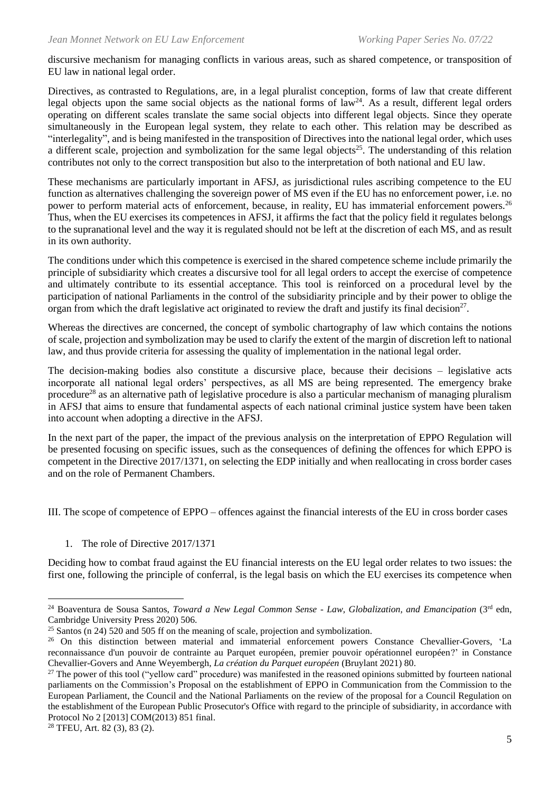discursive mechanism for managing conflicts in various areas, such as shared competence, or transposition of EU law in national legal order.

Directives, as contrasted to Regulations, are, in a legal pluralist conception, forms of law that create different legal objects upon the same social objects as the national forms of  $law<sup>24</sup>$ . As a result, different legal orders operating on different scales translate the same social objects into different legal objects. Since they operate simultaneously in the European legal system, they relate to each other. This relation may be described as "interlegality", and is being manifested in the transposition of Directives into the national legal order, which uses a different scale, projection and symbolization for the same legal objects<sup>25</sup>. The understanding of this relation contributes not only to the correct transposition but also to the interpretation of both national and EU law.

These mechanisms are particularly important in AFSJ, as jurisdictional rules ascribing competence to the EU function as alternatives challenging the sovereign power of MS even if the EU has no enforcement power, i.e. no power to perform material acts of enforcement, because, in reality, EU has immaterial enforcement powers.<sup>26</sup> Thus, when the EU exercises its competences in AFSJ, it affirms the fact that the policy field it regulates belongs to the supranational level and the way it is regulated should not be left at the discretion of each MS, and as result in its own authority.

The conditions under which this competence is exercised in the shared competence scheme include primarily the principle of subsidiarity which creates a discursive tool for all legal orders to accept the exercise of competence and ultimately contribute to its essential acceptance. This tool is reinforced on a procedural level by the participation of national Parliaments in the control of the subsidiarity principle and by their power to oblige the organ from which the draft legislative act originated to review the draft and justify its final decision $27$ .

Whereas the directives are concerned, the concept of symbolic chartography of law which contains the notions of scale, projection and symbolization may be used to clarify the extent of the margin of discretion left to national law, and thus provide criteria for assessing the quality of implementation in the national legal order.

The decision-making bodies also constitute a discursive place, because their decisions – legislative acts incorporate all national legal orders' perspectives, as all MS are being represented. The emergency brake procedure<sup>28</sup> as an alternative path of legislative procedure is also a particular mechanism of managing pluralism in AFSJ that aims to ensure that fundamental aspects of each national criminal justice system have been taken into account when adopting a directive in the AFSJ.

In the next part of the paper, the impact of the previous analysis on the interpretation of EPPO Regulation will be presented focusing on specific issues, such as the consequences of defining the offences for which EPPO is competent in the Directive 2017/1371, on selecting the EDP initially and when reallocating in cross border cases and on the role of Permanent Chambers.

III. The scope of competence of EPPO – offences against the financial interests of the EU in cross border cases

1. The role of Directive 2017/1371

Deciding how to combat fraud against the EU financial interests on the EU legal order relates to two issues: the first one, following the principle of conferral, is the legal basis on which the EU exercises its competence when

<sup>28</sup> TFEU, Art. 82 (3), 83 (2).

<sup>24</sup> Boaventura de Sousa Santos, *Toward a New Legal Common Sense - Law, Globalization, and Emancipation* (3rd edn, Cambridge University Press 2020) 506.

 $25$  Santos (n 24) 520 and 505 ff on the meaning of scale, projection and symbolization.

<sup>&</sup>lt;sup>26</sup> On this distinction between material and immaterial enforcement powers Constance Chevallier-Govers, 'La reconnaissance d'un pouvoir de contrainte au Parquet européen, premier pouvoir opérationnel européen?' in Constance Chevallier-Govers and Anne Weyembergh, *La création du Parquet européen* (Bruylant 2021) 80.

 $27$  The power of this tool ("yellow card" procedure) was manifested in the reasoned opinions submitted by fourteen national parliaments on the Commission's Proposal on the establishment of EPPO in Communication from the Commission to the European Parliament, the Council and the National Parliaments on the review of the proposal for a Council Regulation on the establishment of the European Public Prosecutor's Office with regard to the principle of subsidiarity, in accordance with Protocol No 2 [2013] COM(2013) 851 final.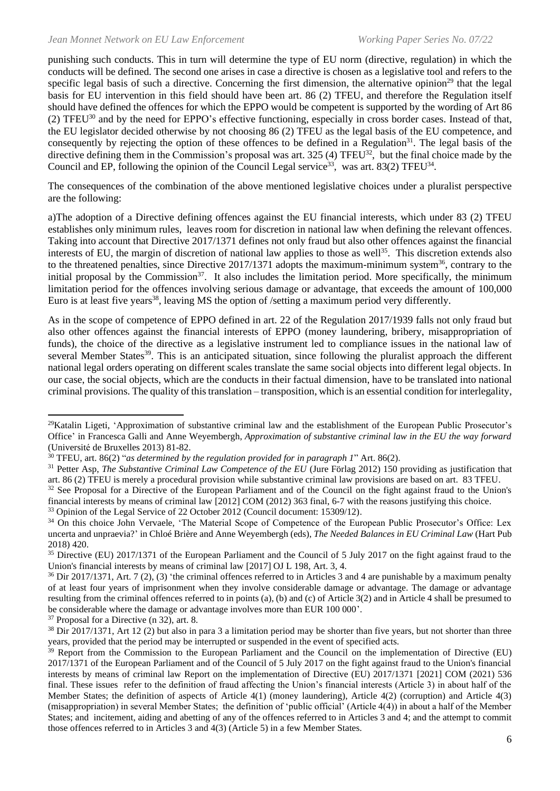punishing such conducts. This in turn will determine the type of EU norm (directive, regulation) in which the conducts will be defined. The second one arises in case a directive is chosen as a legislative tool and refers to the specific legal basis of such a directive. Concerning the first dimension, the alternative opinion<sup>29</sup> that the legal basis for EU intervention in this field should have been art. 86 (2) TFEU, and therefore the Regulation itself should have defined the offences for which the EPPO would be competent is supported by the wording of Art 86 (2) TFEU<sup>30</sup> and by the need for EPPO's effective functioning, especially in cross border cases. Instead of that, the EU legislator decided otherwise by not choosing 86 (2) TFEU as the legal basis of the EU competence, and consequently by rejecting the option of these offences to be defined in a Regulation<sup>31</sup>. The legal basis of the directive defining them in the Commission's proposal was art.  $325(4)$  TFEU<sup>32</sup>, but the final choice made by the Council and EP, following the opinion of the Council Legal service<sup>33</sup>, was art. 83(2) TFEU<sup>34</sup>.

The consequences of the combination of the above mentioned legislative choices under a pluralist perspective are the following:

a)The adoption of a Directive defining offences against the EU financial interests, which under 83 (2) TFEU establishes only minimum rules, leaves room for discretion in national law when defining the relevant offences. Taking into account that Directive 2017/1371 defines not only fraud but also other offences against the financial interests of EU, the margin of discretion of national law applies to those as well<sup>35</sup>. This discretion extends also to the threatened penalties, since Directive 2017/1371 adopts the maximum-minimum system<sup>36</sup>, contrary to the initial proposal by the Commission<sup>37</sup>. It also includes the limitation period. More specifically, the minimum limitation period for the offences involving serious damage or advantage, that exceeds the amount of 100,000 Euro is at least five years<sup>38</sup>, leaving MS the option of /setting a maximum period very differently.

As in the scope of competence of EPPO defined in art. 22 of the Regulation 2017/1939 falls not only fraud but also other offences against the financial interests of EPPO (money laundering, bribery, misappropriation of funds), the choice of the directive as a legislative instrument led to compliance issues in the national law of several Member States<sup>39</sup>. This is an anticipated situation, since following the pluralist approach the different national legal orders operating on different scales translate the same social objects into different legal objects. In our case, the social objects, which are the conducts in their factual dimension, have to be translated into national criminal provisions. The quality of this translation – transposition, which is an essential condition for interlegality,

<sup>37</sup> Proposal for a Directive (n 32), art. 8.

<sup>&</sup>lt;sup>29</sup>Katalin Ligeti, 'Approximation of substantive criminal law and the establishment of the European Public Prosecutor's Office' in Francesca Galli and Anne Weyembergh, *Approximation of substantive criminal law in the EU the way forward* (Université de Bruxelles 2013) 81-82.

<sup>30</sup> TFEU, art. 86(2) "*as determined by the regulation provided for in paragraph 1*" Art. 86(2).

<sup>&</sup>lt;sup>31</sup> Petter Asp, *The Substantive Criminal Law Competence of the EU* (Jure Förlag 2012) 150 providing as justification that art. 86 (2) TFEU is merely a procedural provision while substantive criminal law provisions are based on art. 83 TFEU.

<sup>&</sup>lt;sup>32</sup> See Proposal for a Directive of the European Parliament and of the Council on the fight against fraud to the Union's financial interests by means of criminal law [2012] COM (2012) 363 final, 6-7 with the reasons justifying this choice. <sup>33</sup> Opinion of the Legal Service of 22 October 2012 (Council document: 15309/12).

<sup>&</sup>lt;sup>34</sup> On this choice John Vervaele, 'The Material Scope of Competence of the European Public Prosecutor's Office: Lex uncerta and unpraevia?' in Chloé Brière and Anne Weyembergh (eds), *The Needed Balances in EU Criminal Law* (Hart Pub 2018) 420.

<sup>&</sup>lt;sup>35</sup> Directive (EU) 2017/1371 of the European Parliament and the Council of 5 July 2017 on the fight against fraud to the Union's financial interests by means of criminal law [2017] OJ L 198, Art. 3, 4.

<sup>&</sup>lt;sup>36</sup> Dir 2017/1371, Art. 7 (2), (3) 'the criminal offences referred to in Articles 3 and 4 are punishable by a maximum penalty of at least four years of imprisonment when they involve considerable damage or advantage. The damage or advantage resulting from the criminal offences referred to in points (a), (b) and (c) of Article 3(2) and in Article 4 shall be presumed to be considerable where the damage or advantage involves more than EUR 100 000'.

 $38$  Dir 2017/1371, Art 12 (2) but also in para 3 a limitation period may be shorter than five years, but not shorter than three years, provided that the period may be interrupted or suspended in the event of specified acts.

<sup>&</sup>lt;sup>39</sup> Report from the Commission to the European Parliament and the Council on the implementation of Directive (EU) 2017/1371 of the European Parliament and of the Council of 5 July 2017 on the fight against fraud to the Union's financial interests by means of criminal law Report on the implementation of Directive (EU) 2017/1371 [2021] COM (2021) 536 final. These issues refer to the definition of fraud affecting the Union's financial interests (Article 3) in about half of the Member States; the definition of aspects of Article 4(1) (money laundering), Article 4(2) (corruption) and Article 4(3) (misappropriation) in several Member States; the definition of 'public official' (Article 4(4)) in about a half of the Member States; and incitement, aiding and abetting of any of the offences referred to in Articles 3 and 4; and the attempt to commit those offences referred to in Articles 3 and 4(3) (Article 5) in a few Member States.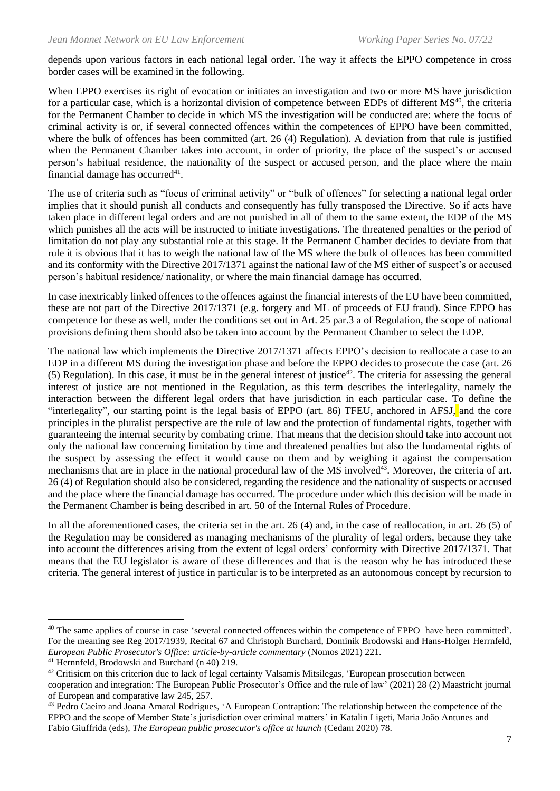depends upon various factors in each national legal order. The way it affects the EPPO competence in cross border cases will be examined in the following.

When EPPO exercises its right of evocation or initiates an investigation and two or more MS have jurisdiction for a particular case, which is a horizontal division of competence between EDPs of different  $MS<sup>40</sup>$ , the criteria for the Permanent Chamber to decide in which MS the investigation will be conducted are: where the focus of criminal activity is or, if several connected offences within the competences of EPPO have been committed, where the bulk of offences has been committed (art. 26 (4) Regulation). A deviation from that rule is justified when the Permanent Chamber takes into account, in order of priority, the place of the suspect's or accused person's habitual residence, the nationality of the suspect or accused person, and the place where the main financial damage has occurred $41$ .

The use of criteria such as "focus of criminal activity" or "bulk of offences" for selecting a national legal order implies that it should punish all conducts and consequently has fully transposed the Directive. So if acts have taken place in different legal orders and are not punished in all of them to the same extent, the EDP of the MS which punishes all the acts will be instructed to initiate investigations. The threatened penalties or the period of limitation do not play any substantial role at this stage. If the Permanent Chamber decides to deviate from that rule it is obvious that it has to weigh the national law of the MS where the bulk of offences has been committed and its conformity with the Directive 2017/1371 against the national law of the MS either of suspect's or accused person's habitual residence/ nationality, or where the main financial damage has occurred.

In case inextricably linked offences to the offences against the financial interests of the EU have been committed, these are not part of the Directive 2017/1371 (e.g. forgery and ML of proceeds of EU fraud). Since EPPO has competence for these as well, under the conditions set out in Art. 25 par.3 a of Regulation, the scope of national provisions defining them should also be taken into account by the Permanent Chamber to select the EDP.

The national law which implements the Directive 2017/1371 affects EPPO's decision to reallocate a case to an EDP in a different MS during the investigation phase and before the EPPO decides to prosecute the case (art. 26 (5) Regulation). In this case, it must be in the general interest of justice<sup>42</sup>. The criteria for assessing the general interest of justice are not mentioned in the Regulation, as this term describes the interlegality, namely the interaction between the different legal orders that have jurisdiction in each particular case. To define the "interlegality", our starting point is the legal basis of EPPO (art. 86) TFEU, anchored in AFSJ, and the core principles in the pluralist perspective are the rule of law and the protection of fundamental rights, together with guaranteeing the internal security by combating crime. That means that the decision should take into account not only the national law concerning limitation by time and threatened penalties but also the fundamental rights of the suspect by assessing the effect it would cause on them and by weighing it against the compensation mechanisms that are in place in the national procedural law of the MS involved<sup>43</sup>. Moreover, the criteria of art. 26 (4) of Regulation should also be considered, regarding the residence and the nationality of suspects or accused and the place where the financial damage has occurred. The procedure under which this decision will be made in the Permanent Chamber is being described in art. 50 of the Internal Rules of Procedure.

In all the aforementioned cases, the criteria set in the art. 26 (4) and, in the case of reallocation, in art. 26 (5) of the Regulation may be considered as managing mechanisms of the plurality of legal orders, because they take into account the differences arising from the extent of legal orders' conformity with Directive 2017/1371. That means that the EU legislator is aware of these differences and that is the reason why he has introduced these criteria. The general interest of justice in particular is to be interpreted as an autonomous concept by recursion to

<sup>40</sup> The same applies of course in case 'several connected offences within the competence of EPPO have been committed'. For the meaning see Reg 2017/1939, Recital 67 and Christoph Burchard, Dominik Brodowski and Hans-Holger Herrnfeld, *European Public Prosecutor's Office: article-by-article commentary* (Nomos 2021) 221.

<sup>41</sup> Hernnfeld, Brodowski and Burchard (n 40) 219.

<sup>&</sup>lt;sup>42</sup> Critisicm on this criterion due to lack of legal certainty Valsamis Mitsilegas, 'European prosecution between cooperation and integration: The European Public Prosecutor's Office and the rule of law' (2021) 28 (2) Maastricht journal of European and comparative law 245, 257.

<sup>43</sup> Pedro Caeiro and Joana Amaral Rodrigues, 'A European Contraption: The relationship between the competence of the EPPO and the scope of Member State's jurisdiction over criminal matters' in Katalin Ligeti, Maria João Antunes and Fabio Giuffrida (eds), *The European public prosecutor's office at launch* (Cedam 2020) 78.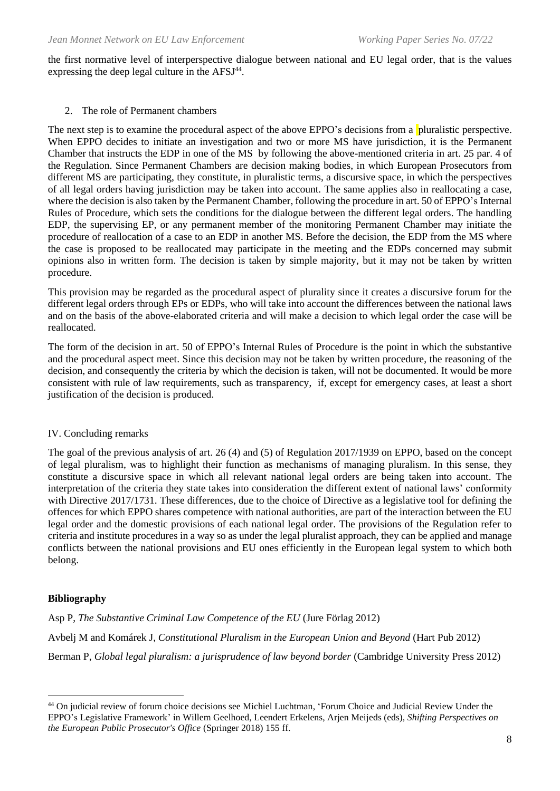the first normative level of interperspective dialogue between national and EU legal order, that is the values expressing the deep legal culture in the  $AFSJ<sup>44</sup>$ .

#### 2. The role of Permanent chambers

The next step is to examine the procedural aspect of the above EPPO's decisions from a pluralistic perspective. When EPPO decides to initiate an investigation and two or more MS have jurisdiction, it is the Permanent Chamber that instructs the EDP in one of the MS by following the above-mentioned criteria in art. 25 par. 4 of the Regulation. Since Permanent Chambers are decision making bodies, in which European Prosecutors from different MS are participating, they constitute, in pluralistic terms, a discursive space, in which the perspectives of all legal orders having jurisdiction may be taken into account. The same applies also in reallocating a case, where the decision is also taken by the Permanent Chamber, following the procedure in art. 50 of EPPO's Internal Rules of Procedure, which sets the conditions for the dialogue between the different legal orders. The handling EDP, the supervising EP, or any permanent member of the monitoring Permanent Chamber may initiate the procedure of reallocation of a case to an EDP in another MS. Before the decision, the EDP from the MS where the case is proposed to be reallocated may participate in the meeting and the EDPs concerned may submit opinions also in written form. The decision is taken by simple majority, but it may not be taken by written procedure.

This provision may be regarded as the procedural aspect of plurality since it creates a discursive forum for the different legal orders through EPs or EDPs, who will take into account the differences between the national laws and on the basis of the above-elaborated criteria and will make a decision to which legal order the case will be reallocated.

The form of the decision in art. 50 of EPPO's Internal Rules of Procedure is the point in which the substantive and the procedural aspect meet. Since this decision may not be taken by written procedure, the reasoning of the decision, and consequently the criteria by which the decision is taken, will not be documented. It would be more consistent with rule of law requirements, such as transparency, if, except for emergency cases, at least a short justification of the decision is produced.

### IV. Concluding remarks

The goal of the previous analysis of art. 26 (4) and (5) of Regulation 2017/1939 on EPPO, based on the concept of legal pluralism, was to highlight their function as mechanisms of managing pluralism. In this sense, they constitute a discursive space in which all relevant national legal orders are being taken into account. The interpretation of the criteria they state takes into consideration the different extent of national laws' conformity with Directive 2017/1731. These differences, due to the choice of Directive as a legislative tool for defining the offences for which EPPO shares competence with national authorities, are part of the interaction between the EU legal order and the domestic provisions of each national legal order. The provisions of the Regulation refer to criteria and institute procedures in a way so as under the legal pluralist approach, they can be applied and manage conflicts between the national provisions and EU ones efficiently in the European legal system to which both belong.

### **Bibliography**

Asp P, *The Substantive Criminal Law Competence of the EU* (Jure Förlag 2012) Avbelj M and Komárek J, *Constitutional Pluralism in the European Union and Beyond* (Hart Pub 2012) Berman P, *Global legal pluralism: a jurisprudence of law beyond border* (Cambridge University Press 2012)

<sup>44</sup> On judicial review of forum choice decisions see Michiel Luchtman, 'Forum Choice and Judicial Review Under the EPPO's Legislative Framework' in Willem Geelhoed, Leendert Erkelens, Arjen Meijeds (eds), *Shifting Perspectives on the European Public Prosecutor's Office* (Springer 2018) 155 ff.